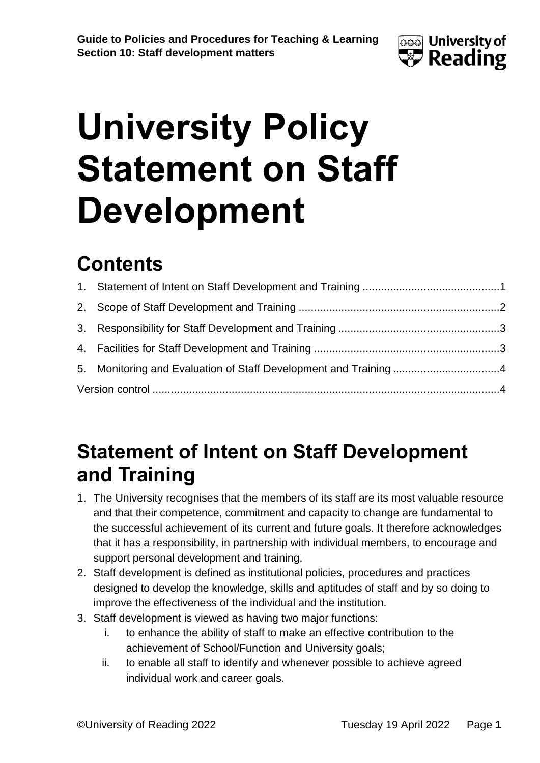

# **University Policy Statement on Staff Development**

### **Contents**

#### <span id="page-0-0"></span>**Statement of Intent on Staff Development and Training**

- 1. The University recognises that the members of its staff are its most valuable resource and that their competence, commitment and capacity to change are fundamental to the successful achievement of its current and future goals. It therefore acknowledges that it has a responsibility, in partnership with individual members, to encourage and support personal development and training.
- 2. Staff development is defined as institutional policies, procedures and practices designed to develop the knowledge, skills and aptitudes of staff and by so doing to improve the effectiveness of the individual and the institution.
- 3. Staff development is viewed as having two major functions:
	- i. to enhance the ability of staff to make an effective contribution to the achievement of School/Function and University goals;
	- ii. to enable all staff to identify and whenever possible to achieve agreed individual work and career goals.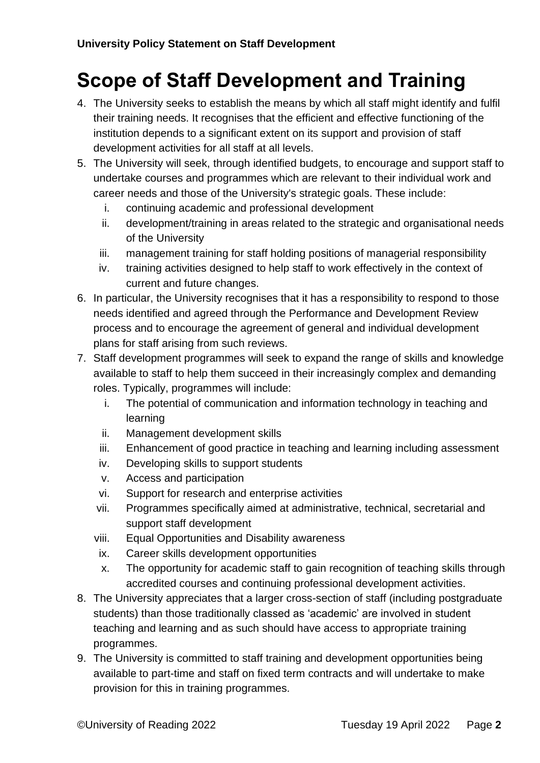#### <span id="page-1-0"></span>**Scope of Staff Development and Training**

- 4. The University seeks to establish the means by which all staff might identify and fulfil their training needs. It recognises that the efficient and effective functioning of the institution depends to a significant extent on its support and provision of staff development activities for all staff at all levels.
- 5. The University will seek, through identified budgets, to encourage and support staff to undertake courses and programmes which are relevant to their individual work and career needs and those of the University's strategic goals. These include:
	- i. continuing academic and professional development
	- ii. development/training in areas related to the strategic and organisational needs of the University
	- iii. management training for staff holding positions of managerial responsibility
	- iv. training activities designed to help staff to work effectively in the context of current and future changes.
- 6. In particular, the University recognises that it has a responsibility to respond to those needs identified and agreed through the Performance and Development Review process and to encourage the agreement of general and individual development plans for staff arising from such reviews.
- 7. Staff development programmes will seek to expand the range of skills and knowledge available to staff to help them succeed in their increasingly complex and demanding roles. Typically, programmes will include:
	- i. The potential of communication and information technology in teaching and learning
	- ii. Management development skills
	- iii. Enhancement of good practice in teaching and learning including assessment
	- iv. Developing skills to support students
	- v. Access and participation
	- vi. Support for research and enterprise activities
	- vii. Programmes specifically aimed at administrative, technical, secretarial and support staff development
	- viii. Equal Opportunities and Disability awareness
	- ix. Career skills development opportunities
	- x. The opportunity for academic staff to gain recognition of teaching skills through accredited courses and continuing professional development activities.
- 8. The University appreciates that a larger cross-section of staff (including postgraduate students) than those traditionally classed as 'academic' are involved in student teaching and learning and as such should have access to appropriate training programmes.
- 9. The University is committed to staff training and development opportunities being available to part-time and staff on fixed term contracts and will undertake to make provision for this in training programmes.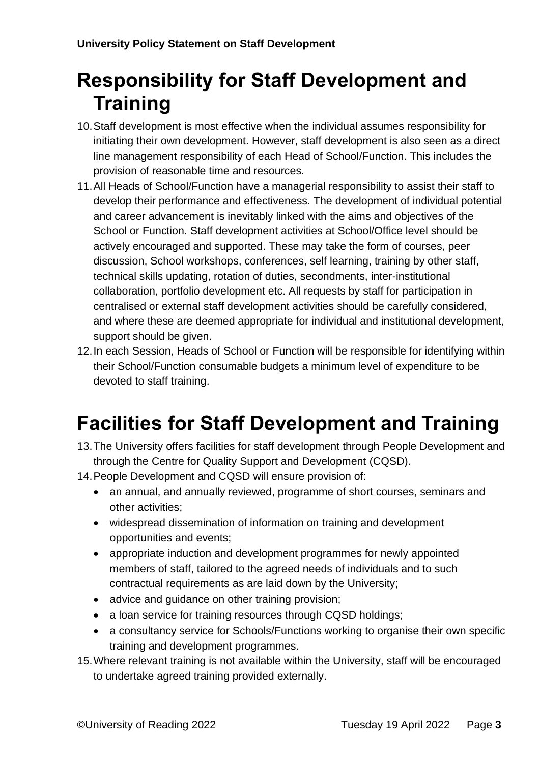#### <span id="page-2-0"></span>**Responsibility for Staff Development and Training**

- 10.Staff development is most effective when the individual assumes responsibility for initiating their own development. However, staff development is also seen as a direct line management responsibility of each Head of School/Function. This includes the provision of reasonable time and resources.
- 11.All Heads of School/Function have a managerial responsibility to assist their staff to develop their performance and effectiveness. The development of individual potential and career advancement is inevitably linked with the aims and objectives of the School or Function. Staff development activities at School/Office level should be actively encouraged and supported. These may take the form of courses, peer discussion, School workshops, conferences, self learning, training by other staff, technical skills updating, rotation of duties, secondments, inter-institutional collaboration, portfolio development etc. All requests by staff for participation in centralised or external staff development activities should be carefully considered, and where these are deemed appropriate for individual and institutional development, support should be given.
- 12.In each Session, Heads of School or Function will be responsible for identifying within their School/Function consumable budgets a minimum level of expenditure to be devoted to staff training.

## <span id="page-2-1"></span>**Facilities for Staff Development and Training**

- 13.The University offers facilities for staff development through People Development and through the Centre for Quality Support and Development (CQSD).
- 14.People Development and CQSD will ensure provision of:
	- an annual, and annually reviewed, programme of short courses, seminars and other activities;
	- widespread dissemination of information on training and development opportunities and events;
	- appropriate induction and development programmes for newly appointed members of staff, tailored to the agreed needs of individuals and to such contractual requirements as are laid down by the University;
	- advice and guidance on other training provision;
	- a loan service for training resources through CQSD holdings;
	- a consultancy service for Schools/Functions working to organise their own specific training and development programmes.
- 15.Where relevant training is not available within the University, staff will be encouraged to undertake agreed training provided externally.